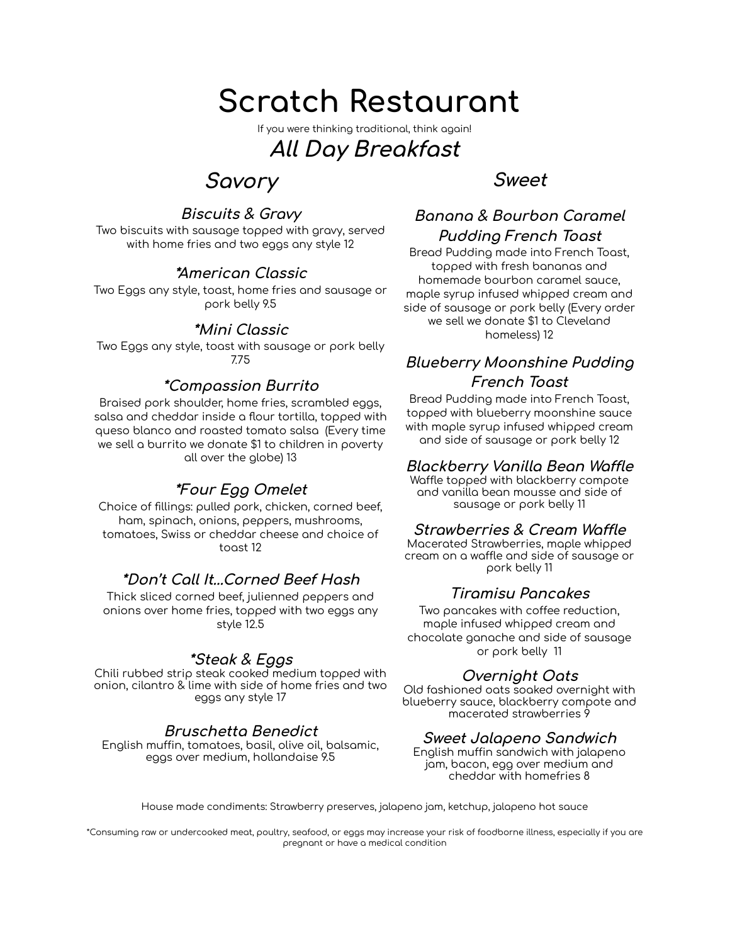# **Scratch Restaurant**

If you were thinking traditional, think again!

# **All Day Breakfast**

# **Savory**

# **Biscuits & Gravy**

Two biscuits with sausage topped with gravy, served with home fries and two eggs any style 12

## **\*American Classic**

Two Eggs any style, toast, home fries and sausage or pork belly 9.5

## **\*Mini Classic**

Two Eggs any style, toast with sausage or pork belly 7.75

## **\*Compassion Burrito**

Braised pork shoulder, home fries, scrambled eggs, salsa and cheddar inside a flour tortilla, topped with queso blanco and roasted tomato salsa (Every time we sell a burrito we donate \$1 to children in poverty all over the globe) 13

# **\*Four Egg Omelet**

Choice of fillings: pulled pork, chicken, corned beef, ham, spinach, onions, peppers, mushrooms, tomatoes, Swiss or cheddar cheese and choice of toast 12

## **\*Don't Call It...Corned Beef Hash**

Thick sliced corned beef, julienned peppers and onions over home fries, topped with two eggs any style 12.5

## **\*Steak & Eggs**

Chili rubbed strip steak cooked medium topped with onion, cilantro & lime with side of home fries and two eggs any style 17

## **Bruschetta Benedict**

English muffin, tomatoes, basil, olive oil, balsamic, eggs over medium, hollandaise 9.5

# **Sweet**

# **Banana & Bourbon Caramel Pudding French Toast**

Bread Pudding made into French Toast, topped with fresh bananas and homemade bourbon caramel sauce, maple syrup infused whipped cream and side of sausage or pork belly (Every order we sell we donate \$1 to Cleveland homeless) 12

#### **Blueberry Moonshine Pudding French Toast**

Bread Pudding made into French Toast, topped with blueberry moonshine sauce with maple syrup infused whipped cream and side of sausage or pork belly 12

#### **Blackberry Vanilla Bean Waffle**

Waffle topped with blackberry compote and vanilla bean mousse and side of sausage or pork belly 11

#### **Strawberries & Cream Waffle**

Macerated Strawberries, maple whipped cream on a waffle and side of sausage or pork belly 11

## **Tiramisu Pancakes**

Two pancakes with coffee reduction, maple infused whipped cream and chocolate ganache and side of sausage or pork belly 11

## **Overnight Oats**

Old fashioned oats soaked overnight with blueberry sauce, blackberry compote and macerated strawberries 9

#### **Sweet Jalapeno Sandwich**

English muffin sandwich with jalapeno jam, bacon, egg over medium and cheddar with homefries 8

House made condiments: Strawberry preserves, jalapeno jam, ketchup, jalapeno hot sauce

\*Consuming raw or undercooked meat, poultry, seafood, or eggs may increase your risk of foodborne illness, especially if you are pregnant or have a medical condition